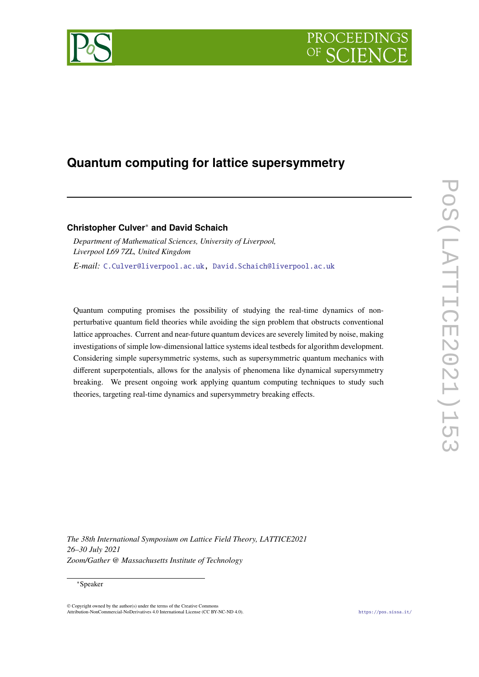



# **Quantum computing for lattice supersymmetry**

# **Christopher Culver**<sup>∗</sup> **and David Schaich**

*Department of Mathematical Sciences, University of Liverpool, Liverpool L69 7ZL, United Kingdom E-mail:* [C.Culver@liverpool.ac.uk,](mailto:C.Culver@liverpool.ac.uk) [David.Schaich@liverpool.ac.uk](mailto:David.Schaich@liverpool.ac.uk)

Quantum computing promises the possibility of studying the real-time dynamics of nonperturbative quantum field theories while avoiding the sign problem that obstructs conventional lattice approaches. Current and near-future quantum devices are severely limited by noise, making investigations of simple low-dimensional lattice systems ideal testbeds for algorithm development. Considering simple supersymmetric systems, such as supersymmetric quantum mechanics with different superpotentials, allows for the analysis of phenomena like dynamical supersymmetry breaking. We present ongoing work applying quantum computing techniques to study such theories, targeting real-time dynamics and supersymmetry breaking effects.

*The 38th International Symposium on Lattice Field Theory, LATTICE2021 26–30 July 2021 Zoom/Gather @ Massachusetts Institute of Technology*

#### ∗Speaker

© Copyright owned by the author(s) under the terms of the Creative Commons Attribution-NonCommercial-NoDerivatives 4.0 International License (CC BY-NC-ND 4.0). <https://pos.sissa.it/>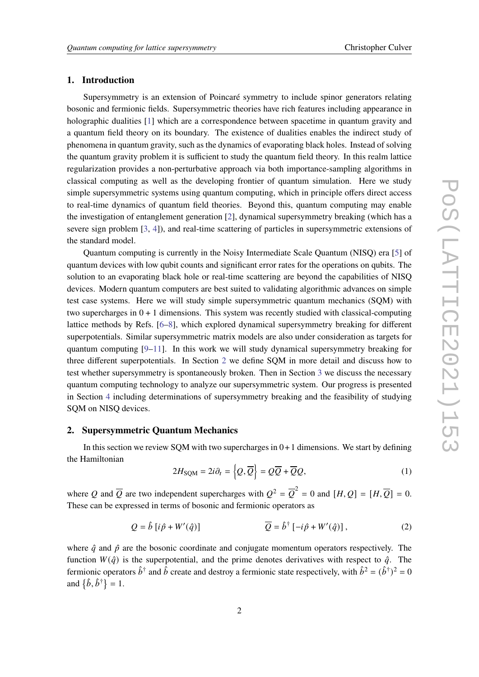## **1. Introduction**

Supersymmetry is an extension of Poincaré symmetry to include spinor generators relating bosonic and fermionic fields. Supersymmetric theories have rich features including appearance in holographic dualities [\[1\]](#page-8-0) which are a correspondence between spacetime in quantum gravity and a quantum field theory on its boundary. The existence of dualities enables the indirect study of phenomena in quantum gravity, such as the dynamics of evaporating black holes. Instead of solving the quantum gravity problem it is sufficient to study the quantum field theory. In this realm lattice regularization provides a non-perturbative approach via both importance-sampling algorithms in classical computing as well as the developing frontier of quantum simulation. Here we study simple supersymmetric systems using quantum computing, which in principle offers direct access to real-time dynamics of quantum field theories. Beyond this, quantum computing may enable the investigation of entanglement generation [\[2\]](#page-8-1), dynamical supersymmetry breaking (which has a severe sign problem [\[3,](#page-8-2) [4\]](#page-8-3)), and real-time scattering of particles in supersymmetric extensions of the standard model.

Quantum computing is currently in the Noisy Intermediate Scale Quantum (NISQ) era [\[5\]](#page-8-4) of quantum devices with low qubit counts and significant error rates for the operations on qubits. The solution to an evaporating black hole or real-time scattering are beyond the capabilities of NISQ devices. Modern quantum computers are best suited to validating algorithmic advances on simple test case systems. Here we will study simple supersymmetric quantum mechanics (SQM) with two supercharges in  $0 + 1$  dimensions. This system was recently studied with classical-computing lattice methods by Refs. [\[6](#page-8-5)[–8\]](#page-8-6), which explored dynamical supersymmetry breaking for different superpotentials. Similar supersymmetric matrix models are also under consideration as targets for quantum computing  $[9-11]$  $[9-11]$ . In this work we will study dynamical supersymmetry breaking for three different superpotentials. In Section [2](#page-1-0) we define SQM in more detail and discuss how to test whether supersymmetry is spontaneously broken. Then in Section [3](#page-2-0) we discuss the necessary quantum computing technology to analyze our supersymmetric system. Our progress is presented in Section [4](#page-4-0) including determinations of supersymmetry breaking and the feasibility of studying SQM on NISQ devices.

# <span id="page-1-0"></span>**2. Supersymmetric Quantum Mechanics**

In this section we review SQM with two supercharges in  $0+1$  dimensions. We start by defining the Hamiltonian

<span id="page-1-1"></span>
$$
2H_{\text{SQM}} = 2i\partial_t = \left\{Q, \overline{Q}\right\} = Q\overline{Q} + \overline{Q}Q,\tag{1}
$$

where Q and  $\overline{Q}$  are two independent supercharges with  $Q^2 = \overline{Q}^2 = 0$  and  $[H, Q] = [H, \overline{Q}] = 0$ . These can be expressed in terms of bosonic and fermionic operators as

$$
Q = \hat{b} \left[ i\hat{p} + W'(\hat{q}) \right] \qquad \qquad \overline{Q} = \hat{b}^{\dagger} \left[ -i\hat{p} + W'(\hat{q}) \right], \tag{2}
$$

where  $\hat{q}$  and  $\hat{p}$  are the bosonic coordinate and conjugate momentum operators respectively. The function  $W(\hat{a})$  is the superpotential, and the prime denotes derivatives with respect to  $\hat{a}$ . The fermionic operators  $\hat{b}^{\dagger}$  and  $\hat{b}$  create and destroy a fermionic state respectively, with  $\hat{b}^2 = (\hat{b}^{\dagger})^2 = 0$ and  $\{\hat{b}, \hat{b}^{\dagger}\}=1$ .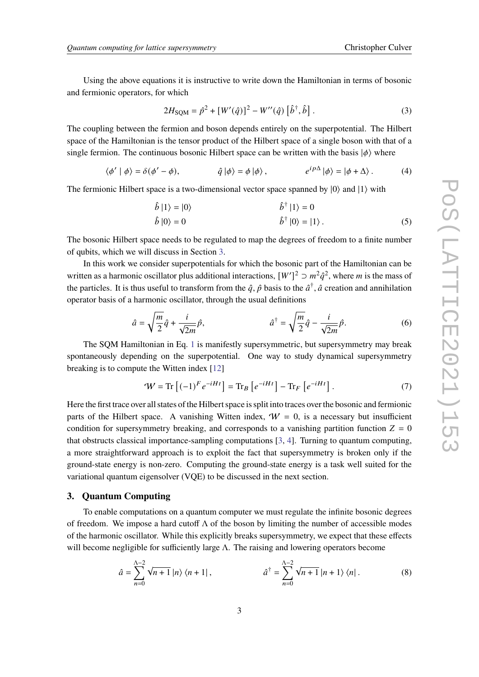Using the above equations it is instructive to write down the Hamiltonian in terms of bosonic and fermionic operators, for which

$$
2H_{\text{SQM}} = \hat{p}^2 + [W'(\hat{q})]^2 - W''(\hat{q}) [\hat{b}^\dagger, \hat{b}]. \tag{3}
$$

The coupling between the fermion and boson depends entirely on the superpotential. The Hilbert space of the Hamiltonian is the tensor product of the Hilbert space of a single boson with that of a single fermion. The continuous bosonic Hilbert space can be written with the basis  $|\phi\rangle$  where

$$
\langle \phi' | \phi \rangle = \delta(\phi' - \phi), \qquad \hat{q} | \phi \rangle = \phi | \phi \rangle, \qquad e^{i p \Delta} | \phi \rangle = | \phi + \Delta \rangle. \tag{4}
$$

The fermionic Hilbert space is a two-dimensional vector space spanned by  $|0\rangle$  and  $|1\rangle$  with

$$
\hat{b} |1\rangle = |0\rangle
$$
\n
$$
\hat{b} |1\rangle = 0
$$
\n
$$
\hat{b} |0\rangle = 0
$$
\n
$$
\hat{b}^{\dagger} |0\rangle = |1\rangle.
$$
\n(5)

The bosonic Hilbert space needs to be regulated to map the degrees of freedom to a finite number of qubits, which we will discuss in Section [3.](#page-2-0)

In this work we consider superpotentials for which the bosonic part of the Hamiltonian can be written as a harmonic oscillator plus additional interactions,  $[W']^2 \supset m^2 \hat{q}^2$ , where m is the mass of the particles. It is thus useful to transform from the  $\hat{q}$ ,  $\hat{p}$  basis to the  $\hat{a}^{\dagger}$ ,  $\hat{a}$  creation and annihilation operator basis of a harmonic oscillator, through the usual definitions

$$
\hat{a} = \sqrt{\frac{m}{2}}\hat{q} + \frac{i}{\sqrt{2m}}\hat{p}, \qquad \hat{a}^{\dagger} = \sqrt{\frac{m}{2}}\hat{q} - \frac{i}{\sqrt{2m}}\hat{p}.
$$
 (6)

The SQM Hamiltonian in Eq. [1](#page-1-1) is manifestly supersymmetric, but supersymmetry may break spontaneously depending on the superpotential. One way to study dynamical supersymmetry breaking is to compute the Witten index [\[12\]](#page-8-9)

$$
\mathcal{W} = \text{Tr}\left[(-1)^F e^{-iHt}\right] = \text{Tr}_B\left[e^{-iHt}\right] - \text{Tr}_F\left[e^{-iHt}\right].\tag{7}
$$

Here the first trace over all states of the Hilbert space is split into traces over the bosonic and fermionic parts of the Hilbert space. A vanishing Witten index,  $W = 0$ , is a necessary but insufficient condition for supersymmetry breaking, and corresponds to a vanishing partition function  $Z = 0$ that obstructs classical importance-sampling computations [\[3,](#page-8-2) [4\]](#page-8-3). Turning to quantum computing, a more straightforward approach is to exploit the fact that supersymmetry is broken only if the ground-state energy is non-zero. Computing the ground-state energy is a task well suited for the variational quantum eigensolver (VQE) to be discussed in the next section.

### <span id="page-2-0"></span>**3. Quantum Computing**

To enable computations on a quantum computer we must regulate the infinite bosonic degrees of freedom. We impose a hard cutoff  $\Lambda$  of the boson by limiting the number of accessible modes of the harmonic oscillator. While this explicitly breaks supersymmetry, we expect that these effects will become negligible for sufficiently large  $\Lambda$ . The raising and lowering operators become

$$
\hat{a} = \sum_{n=0}^{\Lambda - 2} \sqrt{n+1} \left| n \right\rangle \left\langle n+1 \right|, \qquad \qquad \hat{a}^{\dagger} = \sum_{n=0}^{\Lambda - 2} \sqrt{n+1} \left| n+1 \right\rangle \left\langle n \right|.
$$
 (8)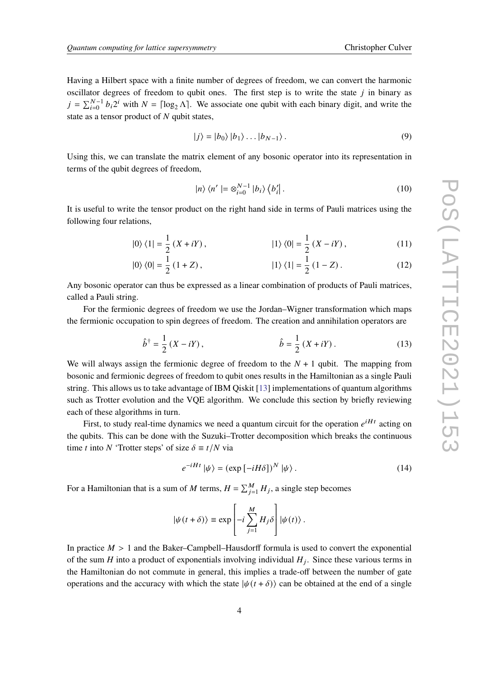Having a Hilbert space with a finite number of degrees of freedom, we can convert the harmonic oscillator degrees of freedom to qubit ones. The first step is to write the state  $j$  in binary as  $j = \sum_{i=0}^{N-1} b_i 2^i$  with  $N = \lceil \log_2 \Lambda \rceil$ . We associate one qubit with each binary digit, and write the state as a tensor product of  $N$  qubit states,

$$
|j\rangle = |b_0\rangle |b_1\rangle \dots |b_{N-1}\rangle. \tag{9}
$$

Using this, we can translate the matrix element of any bosonic operator into its representation in terms of the qubit degrees of freedom,

$$
|n\rangle\langle n'| = \otimes_{i=0}^{N-1} |b_i\rangle\langle b'_i|.
$$
 (10)

It is useful to write the tensor product on the right hand side in terms of Pauli matrices using the following four relations,

$$
|0\rangle\langle 1| = \frac{1}{2}(X + iY), \qquad |1\rangle\langle 0| = \frac{1}{2}(X - iY), \qquad (11)
$$

$$
|0\rangle\langle 0| = \frac{1}{2}(1+Z), \qquad |1\rangle\langle 1| = \frac{1}{2}(1-Z). \qquad (12)
$$

Any bosonic operator can thus be expressed as a linear combination of products of Pauli matrices, called a Pauli string.

For the fermionic degrees of freedom we use the Jordan–Wigner transformation which maps the fermionic occupation to spin degrees of freedom. The creation and annihilation operators are

$$
\hat{b}^{\dagger} = \frac{1}{2} (X - iY), \qquad \hat{b} = \frac{1}{2} (X + iY). \qquad (13)
$$

We will always assign the fermionic degree of freedom to the  $N + 1$  qubit. The mapping from bosonic and fermionic degrees of freedom to qubit ones results in the Hamiltonian as a single Pauli string. This allows us to take advantage of IBM Qiskit [\[13\]](#page-8-10) implementations of quantum algorithms such as Trotter evolution and the VQE algorithm. We conclude this section by briefly reviewing each of these algorithms in turn.

First, to study real-time dynamics we need a quantum circuit for the operation  $e^{iHt}$  acting on the qubits. This can be done with the Suzuki–Trotter decomposition which breaks the continuous time *t* into *N* 'Trotter steps' of size  $\delta \equiv t/N$  via

$$
e^{-iHt} |\psi\rangle = (\exp\left[-iH\delta\right])^N |\psi\rangle. \tag{14}
$$

For a Hamiltonian that is a sum of M terms,  $H = \sum_{j=1}^{M} H_j$ , a single step becomes

$$
\left|\psi(t+\delta)\right\rangle\equiv\exp\left[-i\sum_{j=1}^{M}H_{j}\delta\right]\left|\psi(t)\right\rangle.
$$

In practice  $M > 1$  and the Baker–Campbell–Hausdorff formula is used to convert the exponential of the sum H into a product of exponentials involving individual  $H_i$ . Since these various terms in the Hamiltonian do not commute in general, this implies a trade-off between the number of gate operations and the accuracy with which the state  $|\psi(t+\delta)\rangle$  can be obtained at the end of a single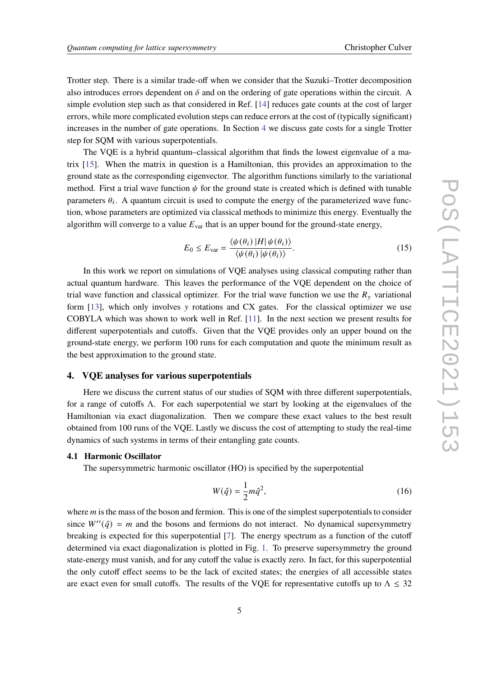Trotter step. There is a similar trade-off when we consider that the Suzuki–Trotter decomposition also introduces errors dependent on  $\delta$  and on the ordering of gate operations within the circuit. A simple evolution step such as that considered in Ref. [\[14\]](#page-8-11) reduces gate counts at the cost of larger errors, while more complicated evolution steps can reduce errors at the cost of (typically significant) increases in the number of gate operations. In Section [4](#page-4-0) we discuss gate costs for a single Trotter step for SQM with various superpotentials.

The VQE is a hybrid quantum–classical algorithm that finds the lowest eigenvalue of a matrix [\[15\]](#page-8-12). When the matrix in question is a Hamiltonian, this provides an approximation to the ground state as the corresponding eigenvector. The algorithm functions similarly to the variational method. First a trial wave function  $\psi$  for the ground state is created which is defined with tunable parameters  $\theta_i$ . A quantum circuit is used to compute the energy of the parameterized wave function, whose parameters are optimized via classical methods to minimize this energy. Eventually the algorithm will converge to a value  $E_{var}$  that is an upper bound for the ground-state energy,

$$
E_0 \le E_{\text{var}} = \frac{\langle \psi(\theta_i) | H | \psi(\theta_i) \rangle}{\langle \psi(\theta_i) | \psi(\theta_i) \rangle}.
$$
 (15)

In this work we report on simulations of VQE analyses using classical computing rather than actual quantum hardware. This leaves the performance of the VQE dependent on the choice of trial wave function and classical optimizer. For the trial wave function we use the  $R_y$  variational form  $[13]$ , which only involves y rotations and CX gates. For the classical optimizer we use COBYLA which was shown to work well in Ref. [\[11\]](#page-8-8). In the next section we present results for different superpotentials and cutoffs. Given that the VQE provides only an upper bound on the ground-state energy, we perform 100 runs for each computation and quote the minimum result as the best approximation to the ground state.

#### <span id="page-4-0"></span>**4. VQE analyses for various superpotentials**

Here we discuss the current status of our studies of SQM with three different superpotentials, for a range of cutoffs Λ. For each superpotential we start by looking at the eigenvalues of the Hamiltonian via exact diagonalization. Then we compare these exact values to the best result obtained from 100 runs of the VQE. Lastly we discuss the cost of attempting to study the real-time dynamics of such systems in terms of their entangling gate counts.

#### **4.1 Harmonic Oscillator**

The supersymmetric harmonic oscillator (HO) is specified by the superpotential

$$
W(\hat{q}) = \frac{1}{2}m\hat{q}^2,\tag{16}
$$

where  $m$  is the mass of the boson and fermion. This is one of the simplest superpotentials to consider since  $W''(\hat{q}) = m$  and the bosons and fermions do not interact. No dynamical supersymmetry breaking is expected for this superpotential [\[7\]](#page-8-13). The energy spectrum as a function of the cutoff determined via exact diagonalization is plotted in Fig. [1.](#page-5-0) To preserve supersymmetry the ground state-energy must vanish, and for any cutoff the value is exactly zero. In fact, for this superpotential the only cutoff effect seems to be the lack of excited states; the energies of all accessible states are exact even for small cutoffs. The results of the VQE for representative cutoffs up to  $\Lambda \leq 32$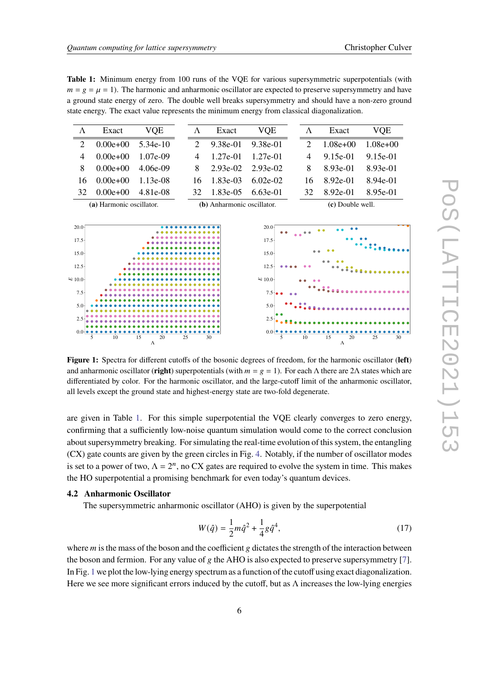<span id="page-5-1"></span>**Table 1:** Minimum energy from 100 runs of the VQE for various supersymmetric superpotentials (with  $m = g = \mu = 1$ ). The harmonic and anharmonic oscillator are expected to preserve supersymmetry and have a ground state energy of zero. The double well breaks supersymmetry and should have a non-zero ground state energy. The exact value represents the minimum energy from classical diagonalization.

| Λ                        | Exact       | VOE        | Λ                          | Exact    | <b>VOE</b> |  | Λ                | Exact      | VOE        |
|--------------------------|-------------|------------|----------------------------|----------|------------|--|------------------|------------|------------|
| $\mathcal{D}$            | $0.00e+0.0$ | 5.34e-10   |                            | 9.38e-01 | 9.38e-01   |  |                  | $1.08e+00$ | $1.08e+00$ |
| 4                        | $0.00e+0.0$ | $1.07e-09$ | 4                          | 1.27e-01 | 1.27e-01   |  | 4                | 9.15e-01   | 9.15e-01   |
| 8                        | $0.00e+0.0$ | 4.06e-09   | 8                          | 2.93e-02 | 2.93e-02   |  | 8                | 8.93e-01   | 8.93e-01   |
| 16                       | $0.00e+0.0$ | 1 13e-08   | 16.                        | 1.83e-03 | $6.02e-02$ |  | 16.              | 8.92e-01   | 8.94e-01   |
| 32                       | $0.00e+0.0$ | 4.81e-08   | 32.                        | 1.83e-05 | 6.63e-01   |  | 32.              | 8.92e-01   | 8.95e-01   |
| (a) Harmonic oscillator. |             |            | (b) Anharmonic oscillator. |          |            |  | (c) Double well. |            |            |

<span id="page-5-0"></span>

**Figure 1:** Spectra for different cutoffs of the bosonic degrees of freedom, for the harmonic oscillator (**left**) and anharmonic oscillator (**right**) superpotentials (with  $m = g = 1$ ). For each  $\Lambda$  there are  $2\Lambda$  states which are differentiated by color. For the harmonic oscillator, and the large-cutoff limit of the anharmonic oscillator, all levels except the ground state and highest-energy state are two-fold degenerate.

are given in Table [1.](#page-5-1) For this simple superpotential the VQE clearly converges to zero energy, confirming that a sufficiently low-noise quantum simulation would come to the correct conclusion about supersymmetry breaking. For simulating the real-time evolution of this system, the entangling (CX) gate counts are given by the green circles in Fig. [4.](#page-7-0) Notably, if the number of oscillator modes is set to a power of two,  $\Lambda = 2^n$ , no CX gates are required to evolve the system in time. This makes the HO superpotential a promising benchmark for even today's quantum devices.

#### **4.2 Anharmonic Oscillator**

The supersymmetric anharmonic oscillator (AHO) is given by the superpotential

$$
W(\hat{q}) = \frac{1}{2}m\hat{q}^2 + \frac{1}{4}g\hat{q}^4,\tag{17}
$$

where  $m$  is the mass of the boson and the coefficient g dictates the strength of the interaction between the boson and fermion. For any value of  $\varrho$  the AHO is also expected to preserve supersymmetry [\[7\]](#page-8-13). In Fig. [1](#page-5-0) we plot the low-lying energy spectrum as a function of the cutoff using exact diagonalization. Here we see more significant errors induced by the cutoff, but as  $\Lambda$  increases the low-lying energies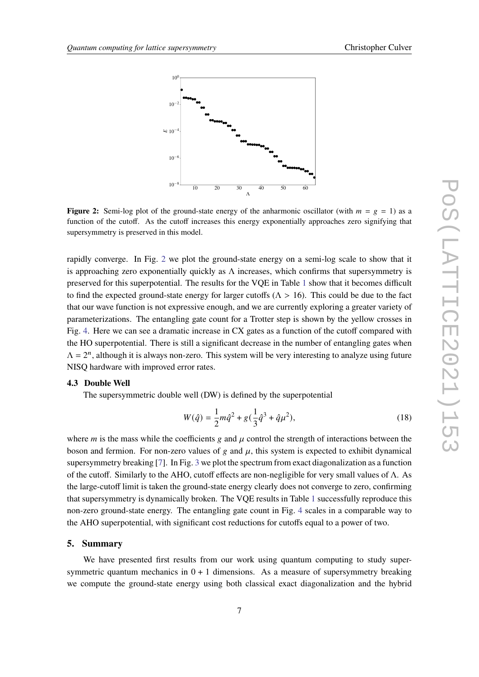<span id="page-6-0"></span>

**Figure 2:** Semi-log plot of the ground-state energy of the anharmonic oscillator (with  $m = g = 1$ ) as a function of the cutoff. As the cutoff increases this energy exponentially approaches zero signifying that supersymmetry is preserved in this model.

rapidly converge. In Fig. [2](#page-6-0) we plot the ground-state energy on a semi-log scale to show that it is approaching zero exponentially quickly as  $\Lambda$  increases, which confirms that supersymmetry is preserved for this superpotential. The results for the VQE in Table [1](#page-5-1) show that it becomes difficult to find the expected ground-state energy for larger cutoffs ( $\Lambda > 16$ ). This could be due to the fact that our wave function is not expressive enough, and we are currently exploring a greater variety of parameterizations. The entangling gate count for a Trotter step is shown by the yellow crosses in Fig. [4.](#page-7-0) Here we can see a dramatic increase in CX gates as a function of the cutoff compared with the HO superpotential. There is still a significant decrease in the number of entangling gates when  $\Lambda = 2^n$ , although it is always non-zero. This system will be very interesting to analyze using future NISQ hardware with improved error rates.

#### **4.3 Double Well**

The supersymmetric double well (DW) is defined by the superpotential

$$
W(\hat{q}) = \frac{1}{2}m\hat{q}^2 + g(\frac{1}{3}\hat{q}^3 + \hat{q}\mu^2),
$$
\n(18)

where *m* is the mass while the coefficients *g* and  $\mu$  control the strength of interactions between the boson and fermion. For non-zero values of  $g$  and  $\mu$ , this system is expected to exhibit dynamical supersymmetry breaking [\[7\]](#page-8-13). In Fig. [3](#page-7-1) we plot the spectrum from exact diagonalization as a function of the cutoff. Similarly to the AHO, cutoff effects are non-negligible for very small values of  $\Lambda$ . As the large-cutoff limit is taken the ground-state energy clearly does not converge to zero, confirming that supersymmetry is dynamically broken. The VQE results in Table [1](#page-5-1) successfully reproduce this non-zero ground-state energy. The entangling gate count in Fig. [4](#page-7-0) scales in a comparable way to the AHO superpotential, with significant cost reductions for cutoffs equal to a power of two.

#### **5. Summary**

We have presented first results from our work using quantum computing to study supersymmetric quantum mechanics in  $0 + 1$  dimensions. As a measure of supersymmetry breaking we compute the ground-state energy using both classical exact diagonalization and the hybrid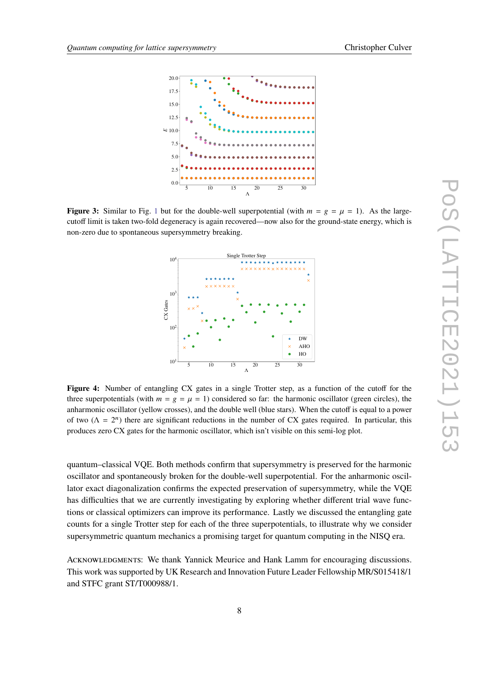<span id="page-7-1"></span>

<span id="page-7-0"></span>**Figure 3:** Similar to Fig. [1](#page-5-0) but for the double-well superpotential (with  $m = g = \mu = 1$ ). As the largecutoff limit is taken two-fold degeneracy is again recovered—now also for the ground-state energy, which is non-zero due to spontaneous supersymmetry breaking.



**Figure 4:** Number of entangling CX gates in a single Trotter step, as a function of the cutoff for the three superpotentials (with  $m = g = \mu = 1$ ) considered so far: the harmonic oscillator (green circles), the anharmonic oscillator (yellow crosses), and the double well (blue stars). When the cutoff is equal to a power of two  $(\Lambda = 2^n)$  there are significant reductions in the number of CX gates required. In particular, this produces zero CX gates for the harmonic oscillator, which isn't visible on this semi-log plot.

quantum–classical VQE. Both methods confirm that supersymmetry is preserved for the harmonic oscillator and spontaneously broken for the double-well superpotential. For the anharmonic oscillator exact diagonalization confirms the expected preservation of supersymmetry, while the VQE has difficulties that we are currently investigating by exploring whether different trial wave functions or classical optimizers can improve its performance. Lastly we discussed the entangling gate counts for a single Trotter step for each of the three superpotentials, to illustrate why we consider supersymmetric quantum mechanics a promising target for quantum computing in the NISQ era.

ACKNOWLEDGMENTS: We thank Yannick Meurice and Hank Lamm for encouraging discussions. This work was supported by UK Research and Innovation Future Leader Fellowship MR/S015418/1 and STFC grant ST/T000988/1.